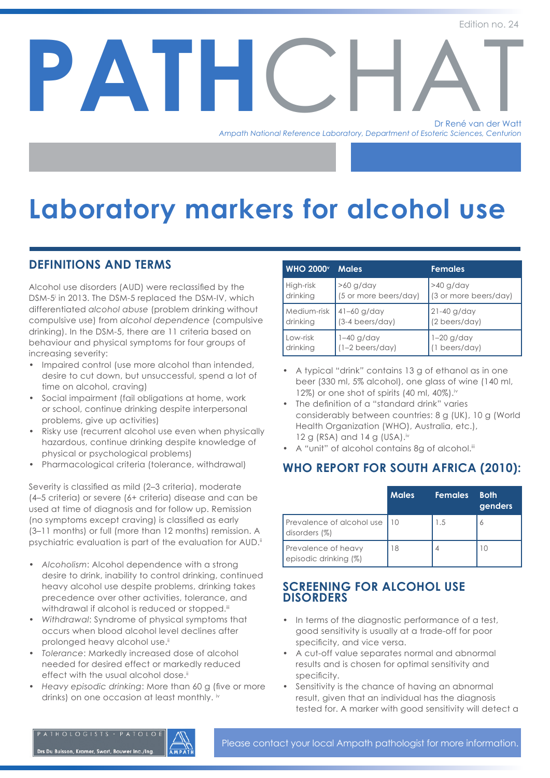## Dr René van der Watt **PATH** *Ampath National Reference Laboratory, Department of Esoteric Sciences, Centurion*  Dr René van der Watt

# **Laboratory markers for alcohol use**

## **DEFINITIONS AND TERMS**

Alcohol use disorders (AUD) were reclassified by the DSM-5i in 2013. The DSM-5 replaced the DSM-IV, which differentiated *alcohol abuse* (problem drinking without compulsive use) from *alcohol dependence* (compulsive drinking). In the DSM-5, there are 11 criteria based on behaviour and physical symptoms for four groups of increasing severity:

- Impaired control (use more alcohol than intended, desire to cut down, but unsuccessful, spend a lot of time on alcohol, craving)
- Social impairment (fail obligations at home, work or school, continue drinking despite interpersonal problems, give up activities)
- Risky use (recurrent alcohol use even when physically hazardous, continue drinking despite knowledge of physical or psychological problems)
- Pharmacological criteria (tolerance, withdrawal)

Severity is classified as mild (2-3 criteria), moderate (4–5 criteria) or severe (6+ criteria) disease and can be used at time of diagnosis and for follow up. Remission (no symptoms except craving) is classified as early (3–11 months) or full (more than 12 months) remission. A psychiatric evaluation is part of the evaluation for AUD.<sup>ii</sup>

- *A lcoholism*: Alcohol dependence with a strong desire to drink, inability to control drinking, continued heavy alcohol use despite problems, drinking takes precedence over other activities, tolerance, and withdrawal if alcohol is reduced or stopped.<sup>iii</sup>
- *Withdrawal: Syndrome of physical symptoms that* occurs when blood alcohol level declines after prolonged heavy alcohol use.<sup>ii</sup>
- *Tolerance*: Markedly increased dose of alcohol needed for desired effect or markedly reduced effect with the usual alcohol dose.<sup>ii</sup>
- *Heavy episodic drinking: More than 60 g (five or more)* drinks) on one occasion at least monthly. iv

| <b>WHO 2000</b>         | <b>Males</b>                       | <b>Females</b>               |
|-------------------------|------------------------------------|------------------------------|
| High-risk               | $>60$ g/day                        | >40 g/day                    |
| drinking                | (5 or more beers/day)              | (3 or more beers/day)        |
| Medium-risk<br>drinking | $41 - 60$ g/day<br>(3-4 beers/day) | 21-40 g/day<br>(2 beers/day) |
| Low-risk                | $1-40$ g/day                       | $1-20$ g/day                 |
| drinking                | $(1-2 \text{ beers/day})$          | (1 beers/day)                |

- A typical "drink*"* contains 13 g of ethanol as in one beer (330 ml, 5% alcohol), one glass of wine (140 ml, 12%) or one shot of spirits  $(40 \text{ ml}, 40\%)$ .<sup>iv</sup>
- The definition of a "standard drink" varies considerably between countries: 8 g (UK), 10 g (World Health Organization (WHO), Australia, etc.), 12 g (RSA) and 14 g (USA). $iv$
- A "unit" of alcohol contains 8g of alcohol.iii

## **WHO REPORT FOR SOUTH AFRICA (2010):**

|                                              | <b>Males</b> | <b>Females</b> | <b>Both</b><br>genders |
|----------------------------------------------|--------------|----------------|------------------------|
| Prevalence of alcohol use<br>disorders (%)   | 10           | 1.5            | Ô                      |
| Prevalence of heavy<br>episodic drinking (%) | 18           |                | 10                     |

### **SCREENING FOR ALCOHOL USE DISORDERS**

- In terms of the diagnostic performance of a test, good sensitivity is usually at a trade-off for poor specificity, and vice versa.
- A cut-off value separates normal and abnormal results and is chosen for optimal sensitivity and specificity.
- Sensitivity is the chance of having an abnormal result, given that an individual has the diagnosis tested for. A marker with good sensitivity will detect a

ATHOLOGISTS · PATOLO

Drs Du Buisson, Kramer, Swart, Bouwer Inc./Ing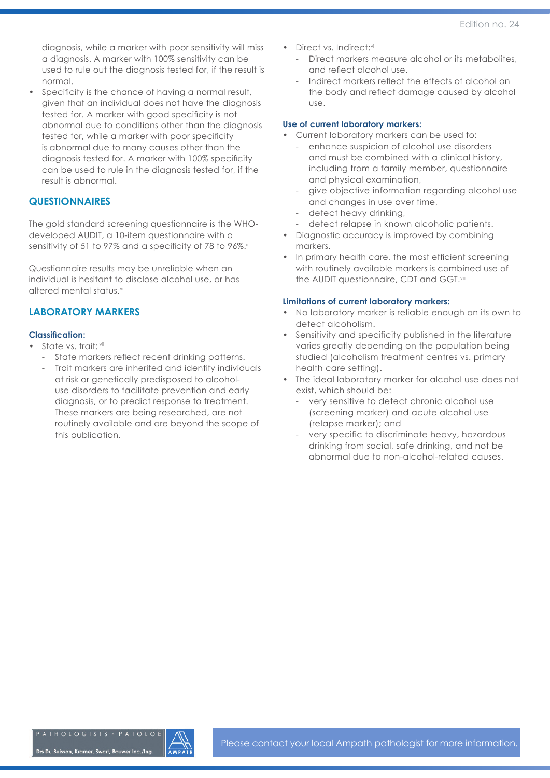diagnosis, while a marker with poor sensitivity will miss a diagnosis. A marker with 100% sensitivity can be used to rule out the diagnosis tested for, if the result is normal.

Specificity is the chance of having a normal result, given that an individual does not have the diagnosis tested for. A marker with good specificity is not abnormal due to conditions other than the diagnosis tested for, while a marker with poor specificity is abnormal due to many causes other than the diagnosis tested for. A marker with 100% specificity can be used to rule in the diagnosis tested for, if the result is abnormal.

#### **QUESTIONNAIRES**

The gold standard screening questionnaire is the WHOdeveloped AUDIT, a 10-item questionnaire with a sensitivity of 51 to 97% and a specificity of 78 to 96%.<sup>ii</sup>

Questionnaire results may be unreliable when an individual is hesitant to disclose alcohol use, or has altered mental status. vi

#### **LABORATORY MARKERS**

#### **Classification:**

- State vs. trait: vii
	- State markers reflect recent drinking patterns.
	- Trait markers are inherited and identify individuals at risk or genetically predisposed to alcoholuse disorders to facilitate prevention and early diagnosis, or to predict response to treatment. These markers are being researched, are not routinely available and are beyond the scope of this publication.
- Direct vs. Indirect:vi
	- Direct markers measure alcohol or its metabolites, and reflect alcohol use.
	- Indirect markers reflect the effects of alcohol on the body and reflect damage caused by alcohol use.

#### **Use of current laboratory markers:**

- Current laboratory markers can be used to:
	- enhance suspicion of alcohol use disorders and must be combined with a clinical history, including from a family member, questionnaire and physical examination,
	- give objective information regarding alcohol use and changes in use over time,
	- detect heavy drinking,
	- detect relapse in known alcoholic patients.
- Diagnostic accuracy is improved by combining markers.
- In primary health care, the most efficient screening with routinely available markers is combined use of the AUDIT questionnaire, CDT and GGT.<sup>viii</sup>

#### **Limitations of current laboratory markers:**

- No laboratory marker is reliable enough on its own to detect alcoholism.
- Sensitivity and specificity published in the literature varies greatly depending on the population being studied (alcoholism treatment centres vs. primary health care setting).
- The ideal laboratory marker for alcohol use does not exist, which should be:
	- very sensitive to detect chronic alcohol use (screening marker) and acute alcohol use (relapse marker); and
	- very specific to discriminate heavy, hazardous drinking from social, safe drinking, and not be abnormal due to non-alcohol-related causes.

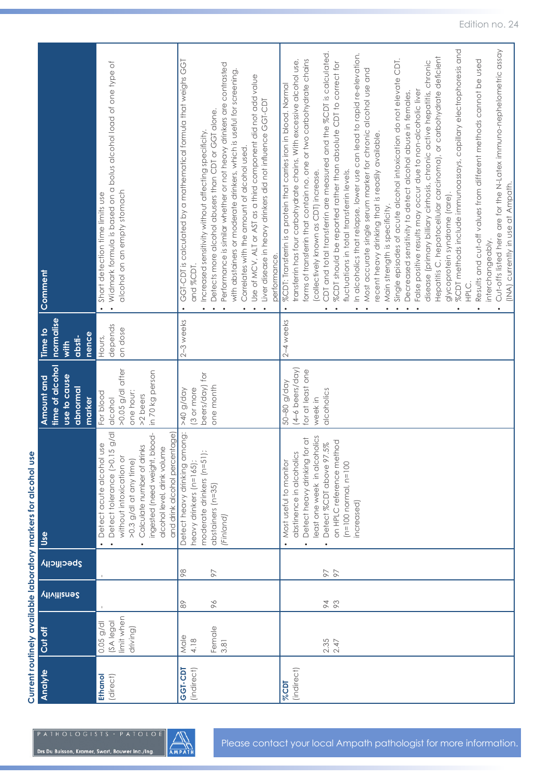| )<br>)<br>)              |  |
|--------------------------|--|
|                          |  |
|                          |  |
| y markers for alcohol us |  |
| l                        |  |
| ;<br>・こくこく<br>֓֕֜֕֜֕֜    |  |
| ŗ<br>i                   |  |

| Analyte                    | Cut off                                           |                                           |             | Use                                                                                                                                                                                                                                                   | time of alcohol<br>Amount and                                                          | normalise<br>Time to         | Comment                                                                                                                                                                                                                                                                                                                                                                                                                                                                                                                                                                                                                                                                                                                                                                                                                                                                                                                                                                                                                                                                                                                                                                                                                                                                                                                                           |
|----------------------------|---------------------------------------------------|-------------------------------------------|-------------|-------------------------------------------------------------------------------------------------------------------------------------------------------------------------------------------------------------------------------------------------------|----------------------------------------------------------------------------------------|------------------------------|---------------------------------------------------------------------------------------------------------------------------------------------------------------------------------------------------------------------------------------------------------------------------------------------------------------------------------------------------------------------------------------------------------------------------------------------------------------------------------------------------------------------------------------------------------------------------------------------------------------------------------------------------------------------------------------------------------------------------------------------------------------------------------------------------------------------------------------------------------------------------------------------------------------------------------------------------------------------------------------------------------------------------------------------------------------------------------------------------------------------------------------------------------------------------------------------------------------------------------------------------------------------------------------------------------------------------------------------------|
|                            |                                                   | <b><i><u>Viivitiens</u></i></b>           | Specificity |                                                                                                                                                                                                                                                       | use to cause<br>abnormal<br>marker                                                     | nence<br>absti-<br>with      |                                                                                                                                                                                                                                                                                                                                                                                                                                                                                                                                                                                                                                                                                                                                                                                                                                                                                                                                                                                                                                                                                                                                                                                                                                                                                                                                                   |
| <b>Ethanol</b><br>(direct) | limit when<br>SA legal<br>$0.05$ g/dl<br>driving) |                                           |             | $15$ g/dl<br>and drink alcohol percentage)<br>ingested (need weight, blood-<br>USE<br>Calculate number of drinks<br>alcohol level, drink volume<br>without intoxication or<br>Detect acute alcohol<br>>0.3 g/dl at any time)<br>Detect tolerance (>0. | $>0.05$ g/dl after<br>in 70 kg person<br>one hour:<br>For blood<br>>2 beers<br>dicohol | depends<br>on dose<br>Hours, | Widmark formula is based on a bolus alcohol load of one type of<br>alcohol on an empty stomach<br>Short detection time limits use<br>$\bullet$<br>$\bullet$                                                                                                                                                                                                                                                                                                                                                                                                                                                                                                                                                                                                                                                                                                                                                                                                                                                                                                                                                                                                                                                                                                                                                                                       |
| GGT-CDT<br>(indirect)      | Female<br>Male<br>4.18<br>3.81                    | 96<br>$\stackrel{\textstyle\circ}{\circ}$ | 88<br>97    | Detect heavy drinking among:<br>moderate drinkers (n=51);<br>heavy drinkers (n=165);<br>abstainers (n=35)<br>'Finland)                                                                                                                                | beers/day) for<br>one month<br>3 or more<br>App/6 0t<                                  | $2-3$ weeks                  | GGT-CDT is calculated by a mathematical formula that weighs GGT<br>Performance is similar whether or not heavy drinkers are contrasted<br>with abstainers or moderate drinkers, which is useful for screening.<br>Use of MCV, ALT or AST as a third component did not add value<br>Liver disease in heavy drinkers did not influence GGT-CDT<br>Detects more alcohol abusers than CDT or GGT alone.<br>Increased sensitivity without affecting specificity.<br>Correlates with the amount of alcohol used.<br>performance.<br>and %CDT<br>$\bullet$                                                                                                                                                                                                                                                                                                                                                                                                                                                                                                                                                                                                                                                                                                                                                                                               |
| (indirect)<br><b>%CDT</b>  | $2.35$<br>$2.47$                                  | 93                                        | 76          | east one week in alcoholics<br>Detect heavy drinking for at<br>on HPLC reference method<br>Detect %CDT above 97.5%<br>abstinence in alcoholics<br>Most useful to monitor<br>$(n=100$ normal, $n=100$<br>increased)                                    | (4-6 beers/day)<br>for at least one<br>50-80 g/day<br>alcoholics<br>week in            | $2-4$ weeks                  | Cut-offs listed here are for the N-Latex immuno-nephelometric assay<br>%CDT methods include immunoassays, capillary electrophoresis and<br>CDT and total transferrin are measured and the %CDT is calculated.<br>In alcoholics that relapse, lower use can lead to rapid re-elevation.<br>Hepatitis C, hepatocellular carcinoma), or carbohydrate deficient<br>Single episodes of acute alcohol intoxication do not elevate CDT.<br>Results and cut-off values from different methods cannot be used<br>forms of transferrin that contain no, one or two carbohydrate chains<br>transferrin has four carbohydrate chains. With excessive alcohol use,<br>%CDT should be reported rather than absolute CDT to correct for<br>disease (primary billiary cirrhosis, chronic active hepatitis, chronic<br>Most accurate single serum marker for chronic alcohol use and<br>%CDT: Transferrin is a protein that carries iron in blood. Normal<br>False positive results may occur due to non-alcoholic liver<br>Decreased sensitivity to detect alcohol abuse in females.<br>recent heavy drinking that is readily available.<br>fluctuations in total transferrin levels.<br>collectively known as CDT) increase.<br>(INA) currently in use at Ampath.<br>glycoprotein syndrome (rare).<br>Main strength is specificity.<br>interchangeably.<br>HPLC. |

 $\begin{picture}(20,5) \put(0,0){\line(1,0){155}} \put(0,0){\line(1,0){155}} \put(0,0){\line(1,0){155}} \put(0,0){\line(1,0){155}} \put(0,0){\line(1,0){155}} \put(0,0){\line(1,0){155}} \put(0,0){\line(1,0){155}} \put(0,0){\line(1,0){155}} \put(0,0){\line(1,0){155}} \put(0,0){\line(1,0){155}} \put(0,0){\line(1,0){155}} \put(0,0){\line(1,$ 

Drs Du Buisson, Kramer, Swart, Bouwer Inc./Ing